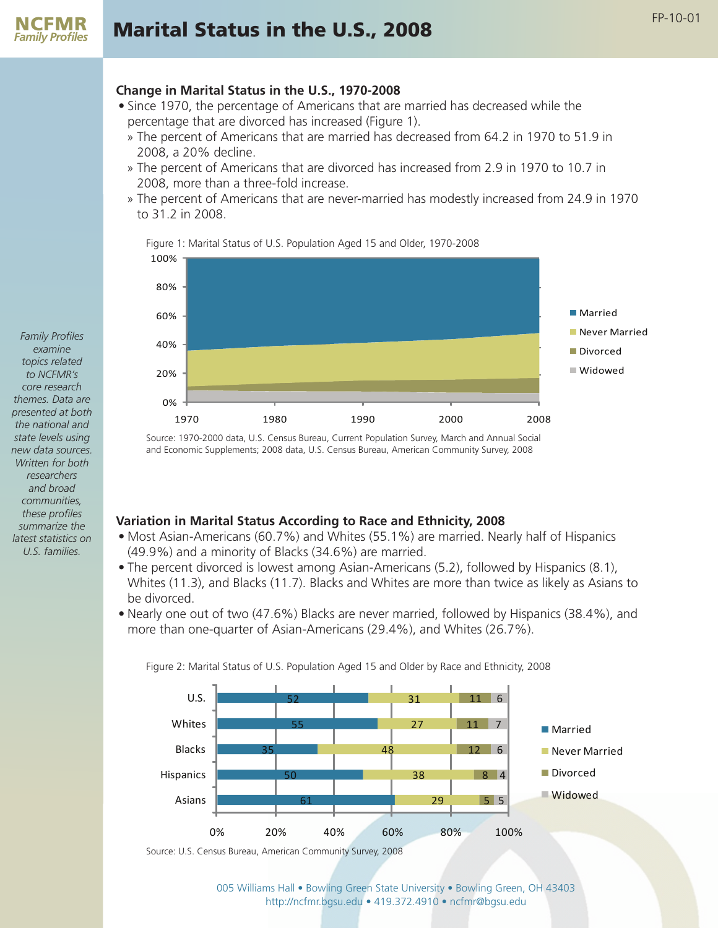### **Change in Marital Status in the U.S., 1970-2008**

- Since 1970, the percentage of Americans that are married has decreased while the percentage that are divorced has increased (Figure 1).
	- » The percent of Americans that are married has decreased from 64.2 in 1970 to 51.9 in 2008, a 20% decline.
	- » The percent of Americans that are divorced has increased from 2.9 in 1970 to 10.7 in 2008, more than a three-fold increase.
	- » The percent of Americans that are never-married has modestly increased from 24.9 in 1970 to 31.2 in 2008.

Figure 1: Marital Status of U.S. Population Aged 15 and Older, 1970-2008



Source: 1970-2000 data, U.S. Census Bureau, Current Population Survey, March and Annual Social and Economic Supplements; 2008 data, U.S. Census Bureau, American Community Survey, 2008

### **Variation in Marital Status According to Race and Ethnicity, 2008**

- Most Asian-Americans (60.7%) and Whites (55.1%) are married. Nearly half of Hispanics (49.9%) and a minority of Blacks (34.6%) are married.
- The percent divorced is lowest among Asian-Americans (5.2), followed by Hispanics (8.1), Whites (11.3), and Blacks (11.7). Blacks and Whites are more than twice as likely as Asians to be divorced.
- Nearly one out of two (47.6%) Blacks are never married, followed by Hispanics (38.4%), and more than one-quarter of Asian-Americans (29.4%), and Whites (26.7%).



Figure 2: Marital Status of U.S. Population Aged 15 and Older by Race and Ethnicity, 2008

Source: U.S. Census Bureau, American Community Survey, 2008

005 Williams Hall • Bowling Green State University • Bowling Green, OH 43403 http://ncfmr.bgsu.edu • 419.372.4910 • ncfmr@bgsu.edu

*Family Profiles examine topics related to NCFMR's core research themes. Data are presented at both the national and state levels using new data sources. Written for both researchers and broad communities, these profiles summarize the latest statistics on U.S. families.*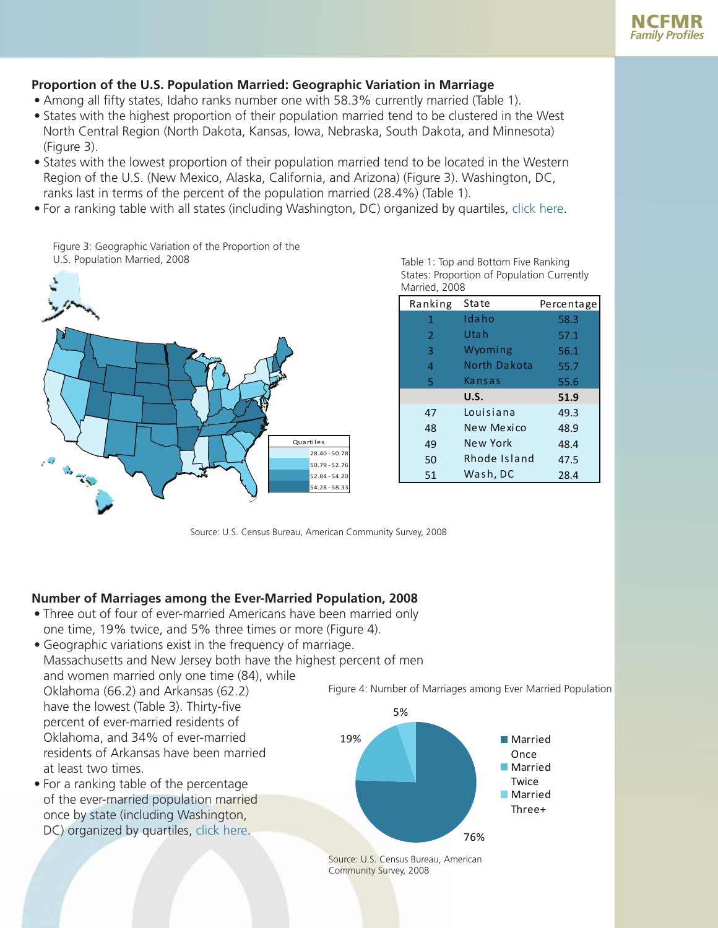# **Proportion of the U.S. Population Married: Geographic Variation in Marriage**

- Among all fifty states, Idaho ranks number one with 58.3% currently married (Table 1).
- States with the highest proportion of their population married tend to be clustered in the West North Central Region (North Dakota, Kansas, Iowa, Nebraska, South Dakota, and Minnesota) (Figure 3).
- States with the lowest proportion of their population married tend to be located in the Western Region of the U.S. (New Mexico, Alaska, California, and Arizona) (Figure 3). Washington, DC, ranks last in terms of the percent of the population married (28.4%) (Table 1).
- <span id="page-1-0"></span>• For a ranking table with all states (including Washington, DC) organized by quartiles, [click here.](#page-2-0)

Figure 3: Geographic Variation of the Proportion of the U.S. Population Married, 2008



| Married, 2008  |              |            |  |  |  |
|----------------|--------------|------------|--|--|--|
| Ranking        | <b>State</b> | Percentage |  |  |  |
| 1              | Idaho        | 58.3       |  |  |  |
| $\overline{2}$ | Uta h        | 57.1       |  |  |  |
| 3              | Wyoming      | 56.1       |  |  |  |
| 4              | North Dakota | 55.7       |  |  |  |
| 5              | Kansas       | 55.6       |  |  |  |
|                | U.S.         | 51.9       |  |  |  |
| 47             | Louisiana    | 49.3       |  |  |  |
| 48             | New Mexico   | 48.9       |  |  |  |
| 49             | New York     | 48.4       |  |  |  |
| 50             | Rhode Island | 47.5       |  |  |  |
| 51             | Wash, DC     | 28.4       |  |  |  |

Table 1: Top and Bottom Five Ranking States: Proportion of Population Currently

Source: U.S. Census Bureau, American Community Survey, 2008

# **Number of Marriages among the Ever-Married Population, 2008**

- Three out of four of ever-married Americans have been married only one time, 19% twice, and 5% three times or more (Figure 4).
- Geographic variations exist in the frequency of marriage. Massachusetts and New Jersey both have the highest percent of men and women married only one time (84), while Oklahoma (66.2) and Arkansas (62.2) have the lowest (Table 3). Thirty-five percent of ever-married residents of Oklahoma, and 34% of ever-married residents of Arkansas have been married at least two times. 19% 5%
- <span id="page-1-1"></span>• For a ranking table of the percentage of the ever-married population married once by state (including Washington, DC) organized by quartiles, [click here.](#page-3-0)

Figure 4: Number of Marriages among Ever Married Population



Source: U.S. Census Bureau, American Community Survey, 2008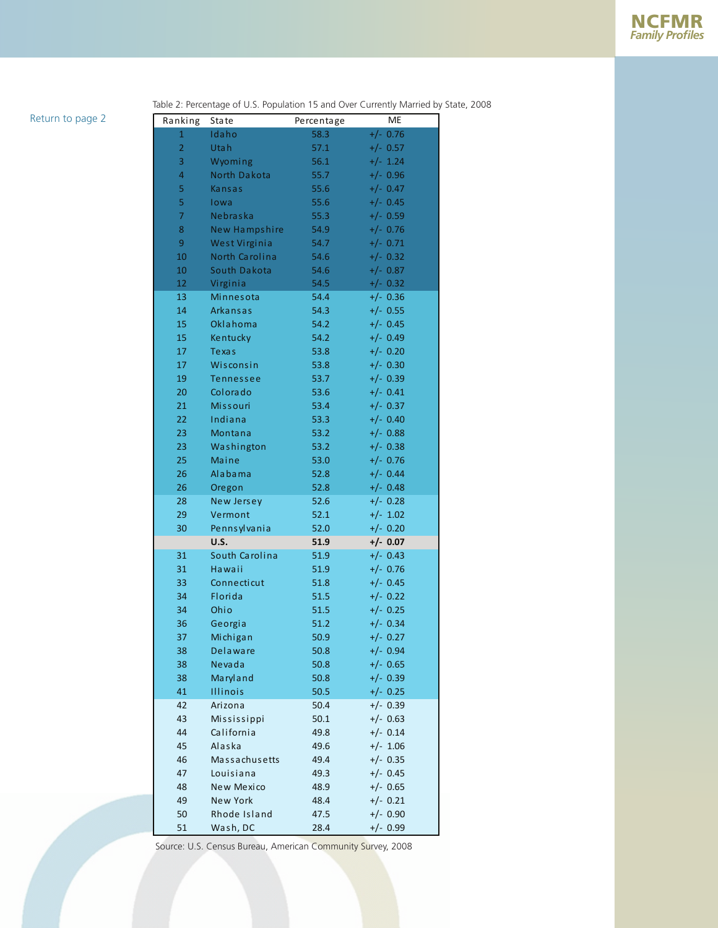#### <span id="page-2-0"></span>[Return to page 2](#page-1-0)

Table 2: Percentage of U.S. Population 15 and Over Currently Married by State, 2008

| Ranking        | <b>State</b>              | Percentage   | <b>ME</b>                |
|----------------|---------------------------|--------------|--------------------------|
| $\mathbf{1}$   | Idaho                     | 58.3         | $+/- 0.76$               |
| $\overline{2}$ | Utah                      | 57.1         | $+/- 0.57$               |
| 3              | Wyoming                   | 56.1         | $+/- 1.24$               |
| $\overline{4}$ | <b>North Dakota</b>       | 55.7         | $+/- 0.96$               |
| 5              | Kansas                    | 55.6         | $+/- 0.47$               |
| 5              | lowa                      | 55.6         | $+/- 0.45$               |
| $\overline{7}$ | Nebraska                  | 55.3         | $+/- 0.59$               |
| 8              | New Hampshire             | 54.9         | $+/- 0.76$               |
| 9              | West Virginia             | 54.7         | $+/- 0.71$               |
| 10             | North Carolina            | 54.6         | $+/- 0.32$               |
| 10             | South Dakota              | 54.6         | $+/- 0.87$               |
| 12             | Virginia                  | 54.5         | $+/- 0.32$               |
| 13             | Minnesota                 | 54.4         | $+/- 0.36$               |
| 14             | Arkansas                  | 54.3         | $+/- 0.55$               |
| 15             | Oklahoma                  | 54.2         | $+/- 0.45$               |
| 15             | Kentucky                  | 54.2         | $+/- 0.49$               |
| 17             | <b>Texas</b>              | 53.8         | $+/- 0.20$               |
| 17             | Wisconsin                 | 53.8         | $+/- 0.30$               |
| 19             | <b>Tennessee</b>          | 53.7         | $+/- 0.39$               |
| 20             | Colorado                  | 53.6         | $+/- 0.41$               |
| 21             | <b>Missouri</b>           | 53.4         | $+/- 0.37$               |
| 22             | Indiana                   | 53.3         | $+/- 0.40$               |
| 23             | Montana                   | 53.2         | $+/- 0.88$               |
| 23             | Washington                | 53.2         | $+/- 0.38$               |
| 25             | Maine                     | 53.0         | $+/- 0.76$               |
| 26             | Alabama                   | 52.8         | $+/- 0.44$               |
| 26             | Oregon                    | 52.8         | $+/- 0.48$               |
| 28             | New Jersey                | 52.6         | $+/- 0.28$               |
| 29             | Vermont                   | 52.1         | $+/- 1.02$               |
| 30             | Pennsylvania              | 52.0         | $+/- 0.20$               |
|                | U.S.                      | 51.9         | $+/- 0.07$               |
| 31             | South Carolina            | 51.9         | $+/- 0.43$               |
| 31             | Hawaii                    | 51.9         | $+/- 0.76$               |
| 33             | Connecticut               | 51.8         | $+/- 0.45$               |
| 34             | Florida                   | 51.5         | $+/- 0.22$               |
| 34             | Ohio                      | 51.5         | $+/- 0.25$               |
| 36             | Georgia                   | 51.2         | $+/- 0.34$               |
| 37             | Michigan                  | 50.9         | $+/- 0.27$               |
| 38             | Delaware                  | 50.8         | $+/- 0.94$<br>$+/- 0.65$ |
| 38             | Nevada<br>Maryland        | 50.8         |                          |
| 38<br>41       | Illinois                  | 50.8         | $+/- 0.39$<br>$+/- 0.25$ |
|                | Arizona                   | 50.5         | $+/- 0.39$               |
| 42<br>43       |                           | 50.4<br>50.1 | $+/- 0.63$               |
| 44             | Mississippi<br>California | 49.8         | $+/- 0.14$               |
| 45             | Alaska                    | 49.6         | $+/- 1.06$               |
| 46             | Massachusetts             | 49.4         | $+/- 0.35$               |
| 47             | Louisiana                 | 49.3         | $+/- 0.45$               |
| 48             | New Mexico                | 48.9         | $+/- 0.65$               |
| 49             | <b>New York</b>           | 48.4         | $+/- 0.21$               |
| 50             | Rhode Island              | 47.5         | $+/- 0.90$               |
|                |                           |              |                          |

Source: U.S. Census Bureau, American Community Survey, 2008